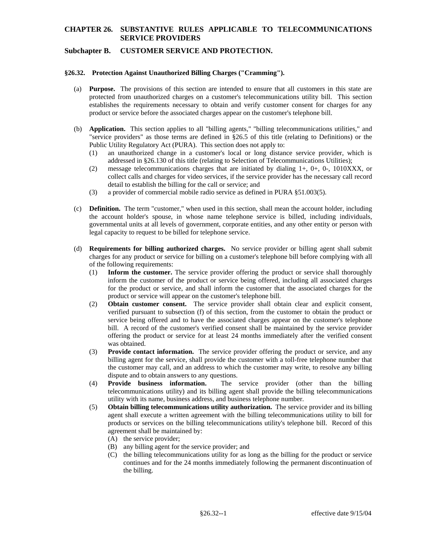## **Subchapter B. CUSTOMER SERVICE AND PROTECTION.**

#### **§26.32. Protection Against Unauthorized Billing Charges ("Cramming").**

- (a) **Purpose.** The provisions of this section are intended to ensure that all customers in this state are protected from unauthorized charges on a customer's telecommunications utility bill. This section establishes the requirements necessary to obtain and verify customer consent for charges for any product or service before the associated charges appear on the customer's telephone bill.
- (b) **Application.** This section applies to all "billing agents," "billing telecommunications utilities," and "service providers" as those terms are defined in §26.5 of this title (relating to Definitions) or the Public Utility Regulatory Act (PURA). This section does not apply to:
	- (1) an unauthorized change in a customer's local or long distance service provider, which is addressed in §26.130 of this title (relating to Selection of Telecommunications Utilities);
	- (2) message telecommunications charges that are initiated by dialing 1+, 0+, 0-, 1010XXX, or collect calls and charges for video services, if the service provider has the necessary call record detail to establish the billing for the call or service; and
	- (3) a provider of commercial mobile radio service as defined in PURA §51.003(5).
- (c) **Definition.** The term "customer," when used in this section, shall mean the account holder, including the account holder's spouse, in whose name telephone service is billed, including individuals, governmental units at all levels of government, corporate entities, and any other entity or person with legal capacity to request to be billed for telephone service.
- (d) **Requirements for billing authorized charges.** No service provider or billing agent shall submit charges for any product or service for billing on a customer's telephone bill before complying with all of the following requirements:
	- (1) **Inform the customer.** The service provider offering the product or service shall thoroughly inform the customer of the product or service being offered, including all associated charges for the product or service, and shall inform the customer that the associated charges for the product or service will appear on the customer's telephone bill.
	- (2) **Obtain customer consent.** The service provider shall obtain clear and explicit consent, verified pursuant to subsection (f) of this section, from the customer to obtain the product or service being offered and to have the associated charges appear on the customer's telephone bill. A record of the customer's verified consent shall be maintained by the service provider offering the product or service for at least 24 months immediately after the verified consent was obtained.
	- (3) **Provide contact information.** The service provider offering the product or service, and any billing agent for the service, shall provide the customer with a toll-free telephone number that the customer may call, and an address to which the customer may write, to resolve any billing dispute and to obtain answers to any questions.
	- (4) **Provide business information.** The service provider (other than the billing telecommunications utility) and its billing agent shall provide the billing telecommunications utility with its name, business address, and business telephone number.
	- (5) **Obtain billing telecommunications utility authorization.** The service provider and its billing agent shall execute a written agreement with the billing telecommunications utility to bill for products or services on the billing telecommunications utility's telephone bill. Record of this agreement shall be maintained by:
		- (A) the service provider;
		- (B) any billing agent for the service provider; and
		- (C) the billing telecommunications utility for as long as the billing for the product or service continues and for the 24 months immediately following the permanent discontinuation of the billing.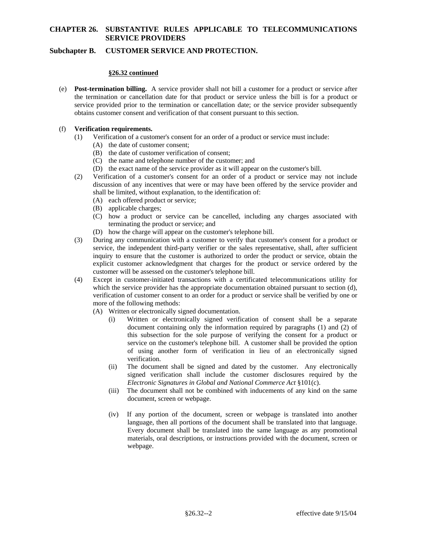# **Subchapter B. CUSTOMER SERVICE AND PROTECTION.**

## **§26.32 continued**

(e) **Post-termination billing.** A service provider shall not bill a customer for a product or service after the termination or cancellation date for that product or service unless the bill is for a product or service provided prior to the termination or cancellation date; or the service provider subsequently obtains customer consent and verification of that consent pursuant to this section.

## (f) **Verification requirements.**

- (1) Verification of a customer's consent for an order of a product or service must include:
	- (A) the date of customer consent;
	- (B) the date of customer verification of consent;
	- (C) the name and telephone number of the customer; and
	- (D) the exact name of the service provider as it will appear on the customer's bill.
- (2) Verification of a customer's consent for an order of a product or service may not include discussion of any incentives that were or may have been offered by the service provider and shall be limited, without explanation, to the identification of:
	- (A) each offered product or service;
	- (B) applicable charges;
	- (C) how a product or service can be cancelled, including any charges associated with terminating the product or service; and
	- (D) how the charge will appear on the customer's telephone bill.
- (3) During any communication with a customer to verify that customer's consent for a product or service, the independent third-party verifier or the sales representative, shall, after sufficient inquiry to ensure that the customer is authorized to order the product or service, obtain the explicit customer acknowledgment that charges for the product or service ordered by the customer will be assessed on the customer's telephone bill.
- (4) Except in customer-initiated transactions with a certificated telecommunications utility for which the service provider has the appropriate documentation obtained pursuant to section (d), verification of customer consent to an order for a product or service shall be verified by one or more of the following methods:
	- (A) Written or electronically signed documentation.
		- (i) Written or electronically signed verification of consent shall be a separate document containing only the information required by paragraphs (1) and (2) of this subsection for the sole purpose of verifying the consent for a product or service on the customer's telephone bill. A customer shall be provided the option of using another form of verification in lieu of an electronically signed verification.
		- (ii) The document shall be signed and dated by the customer. Any electronically signed verification shall include the customer disclosures required by the *Electronic Signatures in Global and National Commerce Act* §101(c).
		- (iii) The document shall not be combined with inducements of any kind on the same document, screen or webpage.
		- (iv) If any portion of the document, screen or webpage is translated into another language, then all portions of the document shall be translated into that language. Every document shall be translated into the same language as any promotional materials, oral descriptions, or instructions provided with the document, screen or webpage.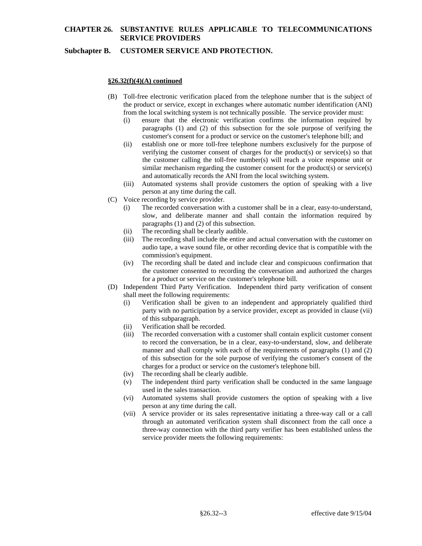# **Subchapter B. CUSTOMER SERVICE AND PROTECTION.**

# **§26.32(f)(4)(A) continued**

- (B) Toll-free electronic verification placed from the telephone number that is the subject of the product or service, except in exchanges where automatic number identification (ANI) from the local switching system is not technically possible. The service provider must:
	- (i) ensure that the electronic verification confirms the information required by paragraphs (1) and (2) of this subsection for the sole purpose of verifying the customer's consent for a product or service on the customer's telephone bill; and
	- (ii) establish one or more toll-free telephone numbers exclusively for the purpose of verifying the customer consent of charges for the product(s) or service(s) so that the customer calling the toll-free number(s) will reach a voice response unit or similar mechanism regarding the customer consent for the product(s) or service(s) and automatically records the ANI from the local switching system.
	- (iii) Automated systems shall provide customers the option of speaking with a live person at any time during the call.
- (C) Voice recording by service provider.
	- (i) The recorded conversation with a customer shall be in a clear, easy-to-understand, slow, and deliberate manner and shall contain the information required by paragraphs (1) and (2) of this subsection.
	- (ii) The recording shall be clearly audible.
	- (iii) The recording shall include the entire and actual conversation with the customer on audio tape, a wave sound file, or other recording device that is compatible with the commission's equipment.
	- (iv) The recording shall be dated and include clear and conspicuous confirmation that the customer consented to recording the conversation and authorized the charges for a product or service on the customer's telephone bill.
- (D) Independent Third Party Verification. Independent third party verification of consent shall meet the following requirements:
	- (i) Verification shall be given to an independent and appropriately qualified third party with no participation by a service provider, except as provided in clause (vii) of this subparagraph.
	- (ii) Verification shall be recorded.
	- (iii) The recorded conversation with a customer shall contain explicit customer consent to record the conversation, be in a clear, easy-to-understand, slow, and deliberate manner and shall comply with each of the requirements of paragraphs (1) and (2) of this subsection for the sole purpose of verifying the customer's consent of the charges for a product or service on the customer's telephone bill.
	- (iv) The recording shall be clearly audible.
	- (v) The independent third party verification shall be conducted in the same language used in the sales transaction.
	- (vi) Automated systems shall provide customers the option of speaking with a live person at any time during the call.
	- (vii) A service provider or its sales representative initiating a three-way call or a call through an automated verification system shall disconnect from the call once a three-way connection with the third party verifier has been established unless the service provider meets the following requirements: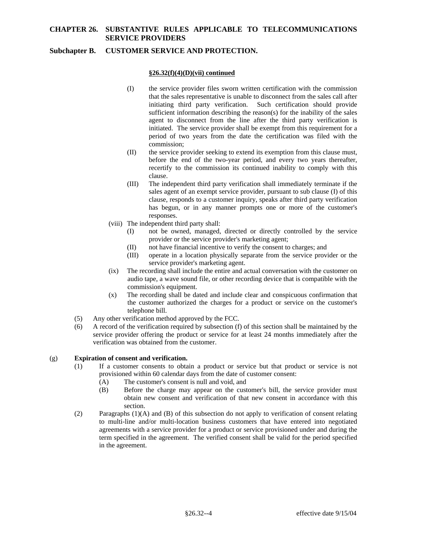# **Subchapter B. CUSTOMER SERVICE AND PROTECTION.**

### **§26.32(f)(4)(D)(vii) continued**

- (I) the service provider files sworn written certification with the commission that the sales representative is unable to disconnect from the sales call after initiating third party verification. Such certification should provide sufficient information describing the reason(s) for the inability of the sales agent to disconnect from the line after the third party verification is initiated. The service provider shall be exempt from this requirement for a period of two years from the date the certification was filed with the commission;
- (II) the service provider seeking to extend its exemption from this clause must, before the end of the two-year period, and every two years thereafter, recertify to the commission its continued inability to comply with this clause.
- (III) The independent third party verification shall immediately terminate if the sales agent of an exempt service provider, pursuant to sub clause (I) of this clause, responds to a customer inquiry, speaks after third party verification has begun, or in any manner prompts one or more of the customer's responses.
- (viii) The independent third party shall:
	- (I) not be owned, managed, directed or directly controlled by the service provider or the service provider's marketing agent;
	- (II) not have financial incentive to verify the consent to charges; and
	- (III) operate in a location physically separate from the service provider or the service provider's marketing agent.
- (ix) The recording shall include the entire and actual conversation with the customer on audio tape, a wave sound file, or other recording device that is compatible with the commission's equipment.
- (x) The recording shall be dated and include clear and conspicuous confirmation that the customer authorized the charges for a product or service on the customer's telephone bill.
- (5) Any other verification method approved by the FCC.
- (6) A record of the verification required by subsection (f) of this section shall be maintained by the service provider offering the product or service for at least 24 months immediately after the verification was obtained from the customer.

## (g) **Expiration of consent and verification.**

- (1) If a customer consents to obtain a product or service but that product or service is not provisioned within 60 calendar days from the date of customer consent:
	- (A) The customer's consent is null and void, and
	- (B) Before the charge may appear on the customer's bill, the service provider must obtain new consent and verification of that new consent in accordance with this section.
- (2) Paragraphs (1)(A) and (B) of this subsection do not apply to verification of consent relating to multi-line and/or multi-location business customers that have entered into negotiated agreements with a service provider for a product or service provisioned under and during the term specified in the agreement. The verified consent shall be valid for the period specified in the agreement.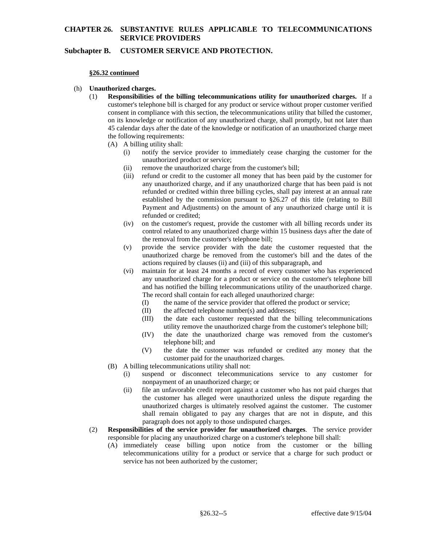## **Subchapter B. CUSTOMER SERVICE AND PROTECTION.**

#### **§26.32 continued**

#### (h) **Unauthorized charges.**

- (1) **Responsibilities of the billing telecommunications utility for unauthorized charges.** If a customer's telephone bill is charged for any product or service without proper customer verified consent in compliance with this section, the telecommunications utility that billed the customer, on its knowledge or notification of any unauthorized charge, shall promptly, but not later than 45 calendar days after the date of the knowledge or notification of an unauthorized charge meet the following requirements:
	- (A) A billing utility shall:
		- (i) notify the service provider to immediately cease charging the customer for the unauthorized product or service;
		- (ii) remove the unauthorized charge from the customer's bill;
		- (iii) refund or credit to the customer all money that has been paid by the customer for any unauthorized charge, and if any unauthorized charge that has been paid is not refunded or credited within three billing cycles, shall pay interest at an annual rate established by the commission pursuant to §26.27 of this title (relating to Bill Payment and Adjustments) on the amount of any unauthorized charge until it is refunded or credited;
		- (iv) on the customer's request, provide the customer with all billing records under its control related to any unauthorized charge within 15 business days after the date of the removal from the customer's telephone bill;
		- (v) provide the service provider with the date the customer requested that the unauthorized charge be removed from the customer's bill and the dates of the actions required by clauses (ii) and (iii) of this subparagraph, and
		- (vi) maintain for at least 24 months a record of every customer who has experienced any unauthorized charge for a product or service on the customer's telephone bill and has notified the billing telecommunications utility of the unauthorized charge. The record shall contain for each alleged unauthorized charge:
			- (I) the name of the service provider that offered the product or service;
			- (II) the affected telephone number(s) and addresses;
			- (III) the date each customer requested that the billing telecommunications utility remove the unauthorized charge from the customer's telephone bill;
			- (IV) the date the unauthorized charge was removed from the customer's telephone bill; and
			- (V) the date the customer was refunded or credited any money that the customer paid for the unauthorized charges.
	- (B) A billing telecommunications utility shall not:
		- (i) suspend or disconnect telecommunications service to any customer for nonpayment of an unauthorized charge; or
		- (ii) file an unfavorable credit report against a customer who has not paid charges that the customer has alleged were unauthorized unless the dispute regarding the unauthorized charges is ultimately resolved against the customer. The customer shall remain obligated to pay any charges that are not in dispute, and this paragraph does not apply to those undisputed charges.
- (2) **Responsibilities of the service provider for unauthorized charges**. The service provider responsible for placing any unauthorized charge on a customer's telephone bill shall:
	- (A) immediately cease billing upon notice from the customer or the billing telecommunications utility for a product or service that a charge for such product or service has not been authorized by the customer;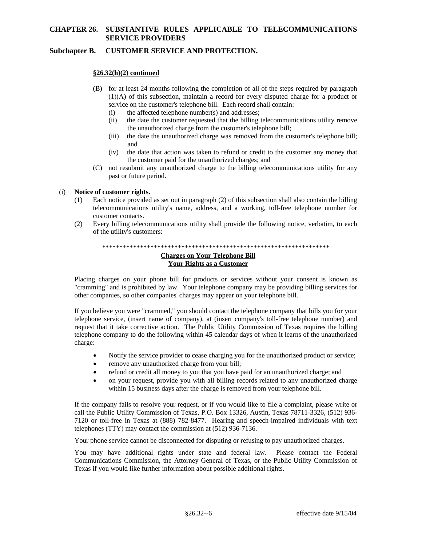# **Subchapter B. CUSTOMER SERVICE AND PROTECTION.**

### **§26.32(h)(2) continued**

- (B) for at least 24 months following the completion of all of the steps required by paragraph (1)(A) of this subsection, maintain a record for every disputed charge for a product or service on the customer's telephone bill. Each record shall contain:
	- (i) the affected telephone number(s) and addresses;
	- (ii) the date the customer requested that the billing telecommunications utility remove the unauthorized charge from the customer's telephone bill;
	- (iii) the date the unauthorized charge was removed from the customer's telephone bill; and
	- (iv) the date that action was taken to refund or credit to the customer any money that the customer paid for the unauthorized charges; and
- (C) not resubmit any unauthorized charge to the billing telecommunications utility for any past or future period.

### (i) **Notice of customer rights.**

- (1) Each notice provided as set out in paragraph (2) of this subsection shall also contain the billing telecommunications utility's name, address, and a working, toll-free telephone number for customer contacts.
- (2) Every billing telecommunications utility shall provide the following notice, verbatim, to each of the utility's customers:

# \*\*\*\*\*\*\*\*\*\*\*\*\*\*\*\*\*\*\*\*\*\*\*\*\*\*\*\*\*\*\*\*\*\*\*\*\*\*\*\*\*\*\*\*\*\*\*\*\*\*\*\*\*\*\*\*\*\*\*\*\*\*\*\*\*\* **Charges on Your Telephone Bill**

# **Your Rights as a Customer**

Placing charges on your phone bill for products or services without your consent is known as "cramming" and is prohibited by law. Your telephone company may be providing billing services for other companies, so other companies' charges may appear on your telephone bill.

If you believe you were "crammed," you should contact the telephone company that bills you for your telephone service, (insert name of company), at (insert company's toll-free telephone number) and request that it take corrective action. The Public Utility Commission of Texas requires the billing telephone company to do the following within 45 calendar days of when it learns of the unauthorized charge:

- Notify the service provider to cease charging you for the unauthorized product or service;
- remove any unauthorized charge from your bill;
- refund or credit all money to you that you have paid for an unauthorized charge; and
- on your request, provide you with all billing records related to any unauthorized charge within 15 business days after the charge is removed from your telephone bill.

If the company fails to resolve your request, or if you would like to file a complaint, please write or call the Public Utility Commission of Texas, P.O. Box 13326, Austin, Texas 78711-3326, (512) 936- 7120 or toll-free in Texas at (888) 782-8477. Hearing and speech-impaired individuals with text telephones (TTY) may contact the commission at (512) 936-7136.

Your phone service cannot be disconnected for disputing or refusing to pay unauthorized charges.

You may have additional rights under state and federal law. Please contact the Federal Communications Commission, the Attorney General of Texas, or the Public Utility Commission of Texas if you would like further information about possible additional rights.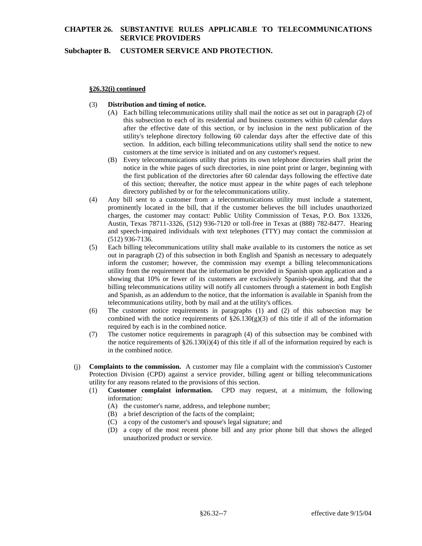## **Subchapter B. CUSTOMER SERVICE AND PROTECTION.**

#### **§26.32(i) continued**

#### (3) **Distribution and timing of notice.**

- (A) Each billing telecommunications utility shall mail the notice as set out in paragraph (2) of this subsection to each of its residential and business customers within 60 calendar days after the effective date of this section, or by inclusion in the next publication of the utility's telephone directory following 60 calendar days after the effective date of this section. In addition, each billing telecommunications utility shall send the notice to new customers at the time service is initiated and on any customer's request.
- (B) Every telecommunications utility that prints its own telephone directories shall print the notice in the white pages of such directories, in nine point print or larger, beginning with the first publication of the directories after 60 calendar days following the effective date of this section; thereafter, the notice must appear in the white pages of each telephone directory published by or for the telecommunications utility.
- (4) Any bill sent to a customer from a telecommunications utility must include a statement, prominently located in the bill, that if the customer believes the bill includes unauthorized charges, the customer may contact: Public Utility Commission of Texas, P.O. Box 13326, Austin, Texas 78711-3326, (512) 936-7120 or toll-free in Texas at (888) 782-8477. Hearing and speech-impaired individuals with text telephones (TTY) may contact the commission at (512) 936-7136.
- (5) Each billing telecommunications utility shall make available to its customers the notice as set out in paragraph (2) of this subsection in both English and Spanish as necessary to adequately inform the customer; however, the commission may exempt a billing telecommunications utility from the requirement that the information be provided in Spanish upon application and a showing that 10% or fewer of its customers are exclusively Spanish-speaking, and that the billing telecommunications utility will notify all customers through a statement in both English and Spanish, as an addendum to the notice, that the information is available in Spanish from the telecommunications utility, both by mail and at the utility's offices.
- (6) The customer notice requirements in paragraphs (1) and (2) of this subsection may be combined with the notice requirements of  $\S26.130(g)(3)$  of this title if all of the information required by each is in the combined notice.
- (7) The customer notice requirements in paragraph (4) of this subsection may be combined with the notice requirements of  $\S 26.130(i)(4)$  of this title if all of the information required by each is in the combined notice.
- (j) **Complaints to the commission.** A customer may file a complaint with the commission's Customer Protection Division (CPD) against a service provider, billing agent or billing telecommunications utility for any reasons related to the provisions of this section.
	- (1) **Customer complaint information.** CPD may request, at a minimum, the following information:
		- (A) the customer's name, address, and telephone number;
		- (B) a brief description of the facts of the complaint;
		- (C) a copy of the customer's and spouse's legal signature; and
		- (D) a copy of the most recent phone bill and any prior phone bill that shows the alleged unauthorized product or service.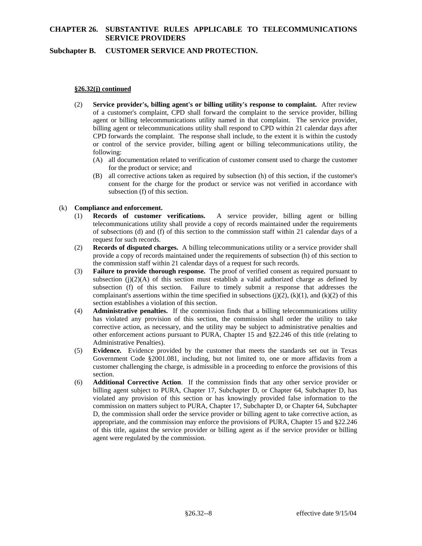## **Subchapter B. CUSTOMER SERVICE AND PROTECTION.**

#### **§26.32(j) continued**

- (2) **Service provider's, billing agent's or billing utility's response to complaint.** After review of a customer's complaint, CPD shall forward the complaint to the service provider, billing agent or billing telecommunications utility named in that complaint. The service provider, billing agent or telecommunications utility shall respond to CPD within 21 calendar days after CPD forwards the complaint. The response shall include, to the extent it is within the custody or control of the service provider, billing agent or billing telecommunications utility, the following:
	- (A) all documentation related to verification of customer consent used to charge the customer for the product or service; and
	- (B) all corrective actions taken as required by subsection (h) of this section, if the customer's consent for the charge for the product or service was not verified in accordance with subsection (f) of this section.

### (k) **Compliance and enforcement.**

- (1) **Records of customer verifications.** A service provider, billing agent or billing telecommunications utility shall provide a copy of records maintained under the requirements of subsections (d) and (f) of this section to the commission staff within 21 calendar days of a request for such records.
- (2) **Records of disputed charges.** A billing telecommunications utility or a service provider shall provide a copy of records maintained under the requirements of subsection (h) of this section to the commission staff within 21 calendar days of a request for such records.
- (3) **Failure to provide thorough response.** The proof of verified consent as required pursuant to subsection  $(j)(2)(A)$  of this section must establish a valid authorized charge as defined by subsection (f) of this section. Failure to timely submit a response that addresses the complainant's assertions within the time specified in subsections  $(j)(2)$ ,  $(k)(1)$ , and  $(k)(2)$  of this section establishes a violation of this section.
- (4) **Administrative penalties.** If the commission finds that a billing telecommunications utility has violated any provision of this section, the commission shall order the utility to take corrective action, as necessary, and the utility may be subject to administrative penalties and other enforcement actions pursuant to PURA, Chapter 15 and §22.246 of this title (relating to Administrative Penalties).
- (5) **Evidence.** Evidence provided by the customer that meets the standards set out in Texas Government Code §2001.081, including, but not limited to, one or more affidavits from a customer challenging the charge, is admissible in a proceeding to enforce the provisions of this section.
- (6) **Additional Corrective Action**. If the commission finds that any other service provider or billing agent subject to PURA, Chapter 17, Subchapter D, or Chapter 64, Subchapter D, has violated any provision of this section or has knowingly provided false information to the commission on matters subject to PURA, Chapter 17, Subchapter D, or Chapter 64, Subchapter D, the commission shall order the service provider or billing agent to take corrective action, as appropriate, and the commission may enforce the provisions of PURA, Chapter 15 and §22.246 of this title, against the service provider or billing agent as if the service provider or billing agent were regulated by the commission.